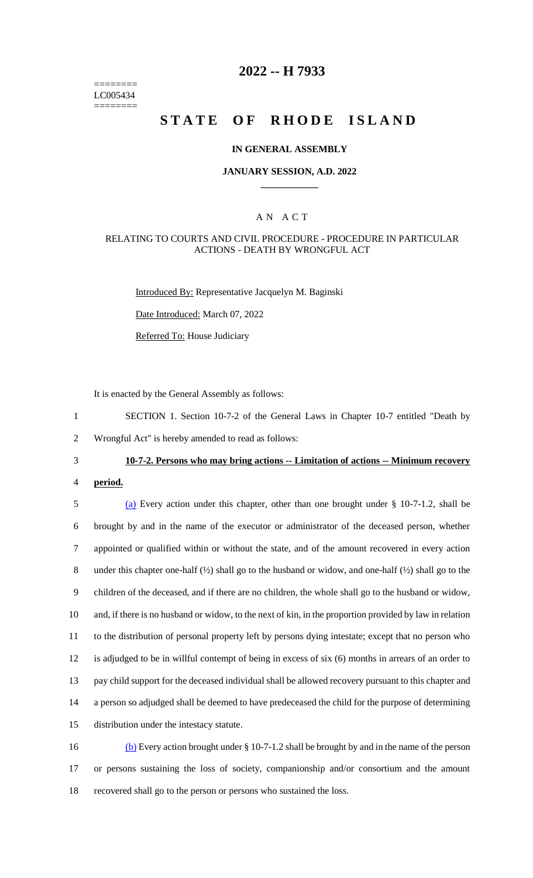======== LC005434 ========

## **2022 -- H 7933**

# **STATE OF RHODE ISLAND**

#### **IN GENERAL ASSEMBLY**

#### **JANUARY SESSION, A.D. 2022 \_\_\_\_\_\_\_\_\_\_\_\_**

#### A N A C T

#### RELATING TO COURTS AND CIVIL PROCEDURE - PROCEDURE IN PARTICULAR ACTIONS - DEATH BY WRONGFUL ACT

Introduced By: Representative Jacquelyn M. Baginski

Date Introduced: March 07, 2022

Referred To: House Judiciary

It is enacted by the General Assembly as follows:

1 SECTION 1. Section 10-7-2 of the General Laws in Chapter 10-7 entitled "Death by 2 Wrongful Act" is hereby amended to read as follows:

#### 3 **10-7-2. Persons who may bring actions -- Limitation of actions -- Minimum recovery**

4 **period.**

 (a) Every action under this chapter, other than one brought under § 10-7-1.2, shall be brought by and in the name of the executor or administrator of the deceased person, whether appointed or qualified within or without the state, and of the amount recovered in every action 8 under this chapter one-half ( $\frac{1}{2}$ ) shall go to the husband or widow, and one-half ( $\frac{1}{2}$ ) shall go to the children of the deceased, and if there are no children, the whole shall go to the husband or widow, and, if there is no husband or widow, to the next of kin, in the proportion provided by law in relation to the distribution of personal property left by persons dying intestate; except that no person who is adjudged to be in willful contempt of being in excess of six (6) months in arrears of an order to pay child support for the deceased individual shall be allowed recovery pursuant to this chapter and a person so adjudged shall be deemed to have predeceased the child for the purpose of determining distribution under the intestacy statute.

16 (b) Every action brought under § 10-7-1.2 shall be brought by and in the name of the person 17 or persons sustaining the loss of society, companionship and/or consortium and the amount 18 recovered shall go to the person or persons who sustained the loss.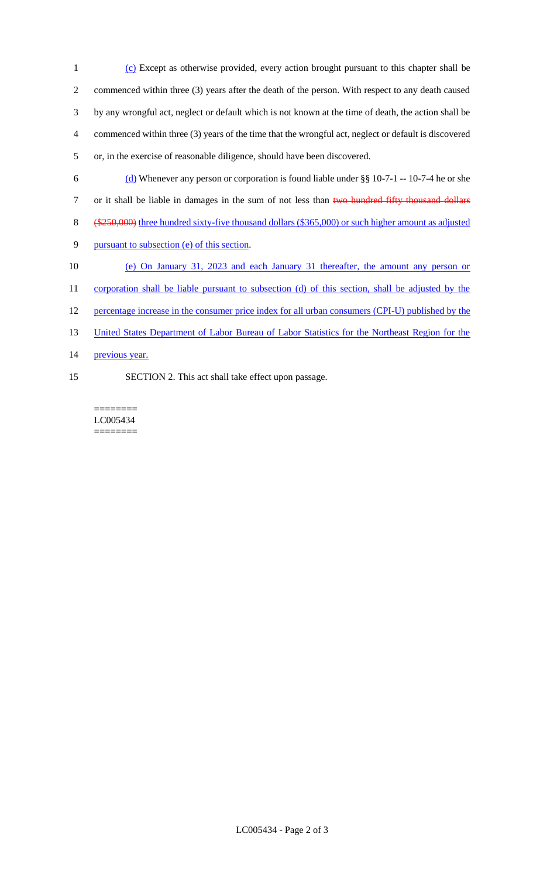(c) Except as otherwise provided, every action brought pursuant to this chapter shall be commenced within three (3) years after the death of the person. With respect to any death caused by any wrongful act, neglect or default which is not known at the time of death, the action shall be commenced within three (3) years of the time that the wrongful act, neglect or default is discovered or, in the exercise of reasonable diligence, should have been discovered.

- 6 (d) Whenever any person or corporation is found liable under  $\S$ § 10-7-1 -- 10-7-4 he or she 7 or it shall be liable in damages in the sum of not less than two hundred fifty thousand dollars 8 (\$250,000) three hundred sixty-five thousand dollars (\$365,000) or such higher amount as adjusted 9 pursuant to subsection (e) of this section. 10 (e) On January 31, 2023 and each January 31 thereafter, the amount any person or 11 corporation shall be liable pursuant to subsection (d) of this section, shall be adjusted by the
- 12 percentage increase in the consumer price index for all urban consumers (CPI-U) published by the
- 13 United States Department of Labor Bureau of Labor Statistics for the Northeast Region for the
- 14 previous year.
- 15 SECTION 2. This act shall take effect upon passage.

======== LC005434 ========